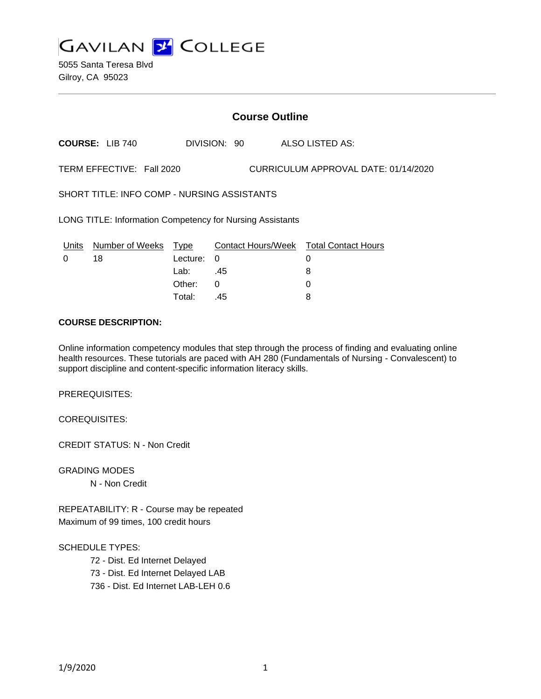

5055 Santa Teresa Blvd Gilroy, CA 95023

# **Course Outline**

**COURSE:** LIB 740 DIVISION: 90 ALSO LISTED AS:

TERM EFFECTIVE: Fall 2020 CURRICULUM APPROVAL DATE: 01/14/2020

SHORT TITLE: INFO COMP - NURSING ASSISTANTS

LONG TITLE: Information Competency for Nursing Assistants

|   | Units Number of Weeks Type |            | Contact Hours/Week Total Contact Hours |  |
|---|----------------------------|------------|----------------------------------------|--|
| 0 | 18                         | Lecture: 0 |                                        |  |
|   |                            | Lab:       | .45                                    |  |
|   |                            | Other:     |                                        |  |
|   |                            | Total:     | .45                                    |  |

## **COURSE DESCRIPTION:**

Online information competency modules that step through the process of finding and evaluating online health resources. These tutorials are paced with AH 280 (Fundamentals of Nursing - Convalescent) to support discipline and content-specific information literacy skills.

PREREQUISITES:

COREQUISITES:

CREDIT STATUS: N - Non Credit

GRADING MODES N - Non Credit

REPEATABILITY: R - Course may be repeated Maximum of 99 times, 100 credit hours

#### SCHEDULE TYPES:

72 - Dist. Ed Internet Delayed

73 - Dist. Ed Internet Delayed LAB

736 - Dist. Ed Internet LAB-LEH 0.6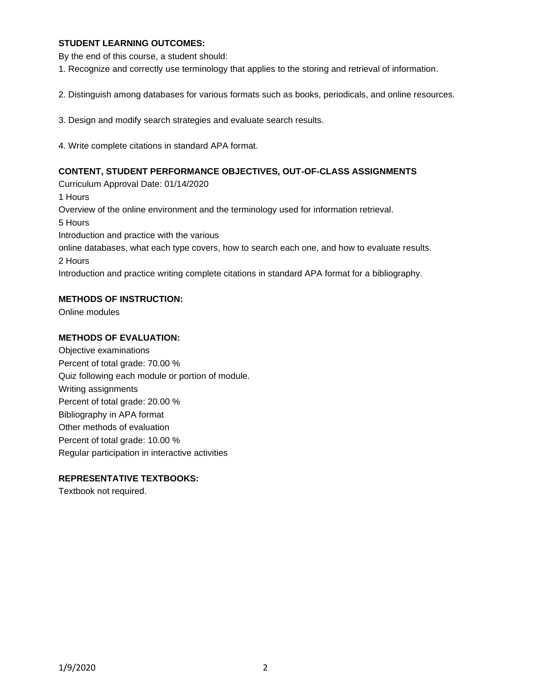## **STUDENT LEARNING OUTCOMES:**

By the end of this course, a student should:

1. Recognize and correctly use terminology that applies to the storing and retrieval of information.

2. Distinguish among databases for various formats such as books, periodicals, and online resources.

3. Design and modify search strategies and evaluate search results.

4. Write complete citations in standard APA format.

### **CONTENT, STUDENT PERFORMANCE OBJECTIVES, OUT-OF-CLASS ASSIGNMENTS**

Curriculum Approval Date: 01/14/2020 1 Hours Overview of the online environment and the terminology used for information retrieval. 5 Hours Introduction and practice with the various online databases, what each type covers, how to search each one, and how to evaluate results. 2 Hours Introduction and practice writing complete citations in standard APA format for a bibliography.

# **METHODS OF INSTRUCTION:**

Online modules

#### **METHODS OF EVALUATION:**

Objective examinations Percent of total grade: 70.00 % Quiz following each module or portion of module. Writing assignments Percent of total grade: 20.00 % Bibliography in APA format Other methods of evaluation Percent of total grade: 10.00 % Regular participation in interactive activities

## **REPRESENTATIVE TEXTBOOKS:**

Textbook not required.